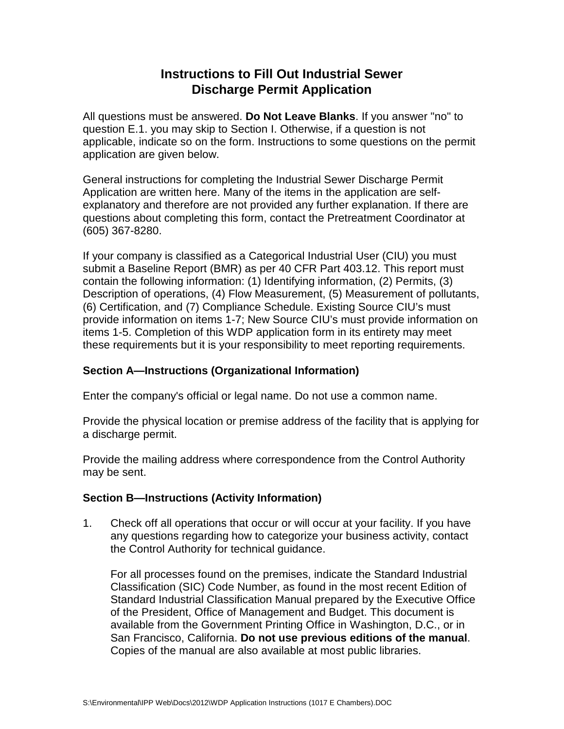# **Instructions to Fill Out Industrial Sewer Discharge Permit Application**

All questions must be answered. **Do Not Leave Blanks**. If you answer "no" to question E.1. you may skip to Section I. Otherwise, if a question is not applicable, indicate so on the form. Instructions to some questions on the permit application are given below.

General instructions for completing the Industrial Sewer Discharge Permit Application are written here. Many of the items in the application are selfexplanatory and therefore are not provided any further explanation. If there are questions about completing this form, contact the Pretreatment Coordinator at (605) 367-8280.

If your company is classified as a Categorical Industrial User (CIU) you must submit a Baseline Report (BMR) as per 40 CFR Part 403.12. This report must contain the following information: (1) Identifying information, (2) Permits, (3) Description of operations, (4) Flow Measurement, (5) Measurement of pollutants, (6) Certification, and (7) Compliance Schedule. Existing Source CIU's must provide information on items 1-7; New Source CIU's must provide information on items 1-5. Completion of this WDP application form in its entirety may meet these requirements but it is your responsibility to meet reporting requirements.

## **Section A—Instructions (Organizational Information)**

Enter the company's official or legal name. Do not use a common name.

Provide the physical location or premise address of the facility that is applying for a discharge permit.

Provide the mailing address where correspondence from the Control Authority may be sent.

## **Section B—Instructions (Activity Information)**

1. Check off all operations that occur or will occur at your facility. If you have any questions regarding how to categorize your business activity, contact the Control Authority for technical guidance.

For all processes found on the premises, indicate the Standard Industrial Classification (SIC) Code Number, as found in the most recent Edition of Standard Industrial Classification Manual prepared by the Executive Office of the President, Office of Management and Budget. This document is available from the Government Printing Office in Washington, D.C., or in San Francisco, California. **Do not use previous editions of the manual**. Copies of the manual are also available at most public libraries.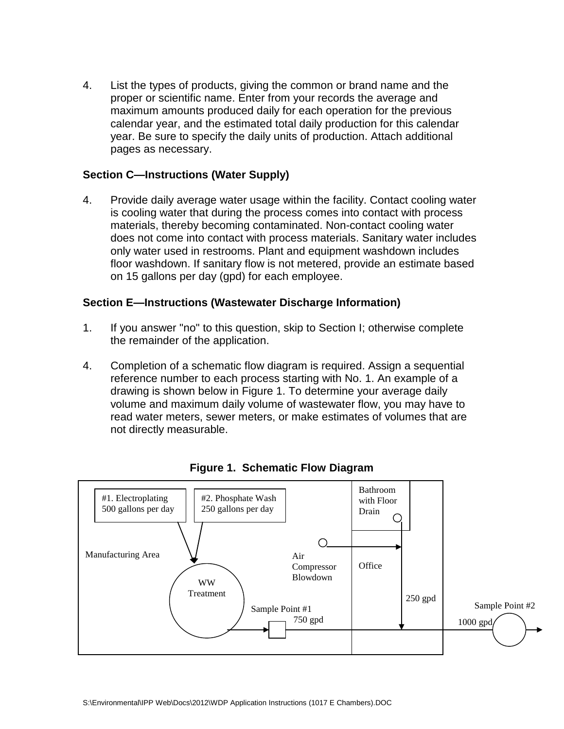4. List the types of products, giving the common or brand name and the proper or scientific name. Enter from your records the average and maximum amounts produced daily for each operation for the previous calendar year, and the estimated total daily production for this calendar year. Be sure to specify the daily units of production. Attach additional pages as necessary.

## **Section C—Instructions (Water Supply)**

4. Provide daily average water usage within the facility. Contact cooling water is cooling water that during the process comes into contact with process materials, thereby becoming contaminated. Non-contact cooling water does not come into contact with process materials. Sanitary water includes only water used in restrooms. Plant and equipment washdown includes floor washdown. If sanitary flow is not metered, provide an estimate based on 15 gallons per day (gpd) for each employee.

#### **Section E—Instructions (Wastewater Discharge Information)**

- 1. If you answer "no" to this question, skip to Section I; otherwise complete the remainder of the application.
- 4. Completion of a schematic flow diagram is required. Assign a sequential reference number to each process starting with No. 1. An example of a drawing is shown below in Figure 1. To determine your average daily volume and maximum daily volume of wastewater flow, you may have to read water meters, sewer meters, or make estimates of volumes that are not directly measurable.



**Figure 1. Schematic Flow Diagram**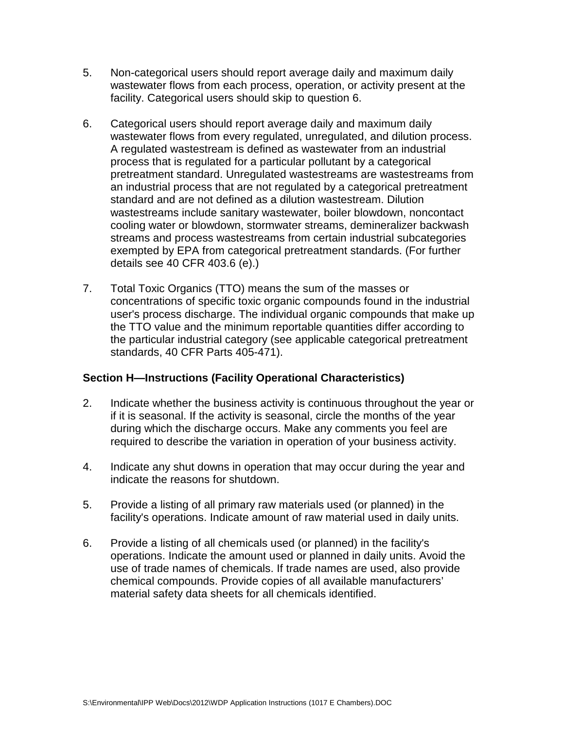- 5. Non-categorical users should report average daily and maximum daily wastewater flows from each process, operation, or activity present at the facility. Categorical users should skip to question 6.
- 6. Categorical users should report average daily and maximum daily wastewater flows from every regulated, unregulated, and dilution process. A regulated wastestream is defined as wastewater from an industrial process that is regulated for a particular pollutant by a categorical pretreatment standard. Unregulated wastestreams are wastestreams from an industrial process that are not regulated by a categorical pretreatment standard and are not defined as a dilution wastestream. Dilution wastestreams include sanitary wastewater, boiler blowdown, noncontact cooling water or blowdown, stormwater streams, demineralizer backwash streams and process wastestreams from certain industrial subcategories exempted by EPA from categorical pretreatment standards. (For further details see 40 CFR 403.6 (e).)
- 7. Total Toxic Organics (TTO) means the sum of the masses or concentrations of specific toxic organic compounds found in the industrial user's process discharge. The individual organic compounds that make up the TTO value and the minimum reportable quantities differ according to the particular industrial category (see applicable categorical pretreatment standards, 40 CFR Parts 405-471).

## **Section H—Instructions (Facility Operational Characteristics)**

- 2. Indicate whether the business activity is continuous throughout the year or if it is seasonal. If the activity is seasonal, circle the months of the year during which the discharge occurs. Make any comments you feel are required to describe the variation in operation of your business activity.
- 4. Indicate any shut downs in operation that may occur during the year and indicate the reasons for shutdown.
- 5. Provide a listing of all primary raw materials used (or planned) in the facility's operations. Indicate amount of raw material used in daily units.
- 6. Provide a listing of all chemicals used (or planned) in the facility's operations. Indicate the amount used or planned in daily units. Avoid the use of trade names of chemicals. If trade names are used, also provide chemical compounds. Provide copies of all available manufacturers' material safety data sheets for all chemicals identified.